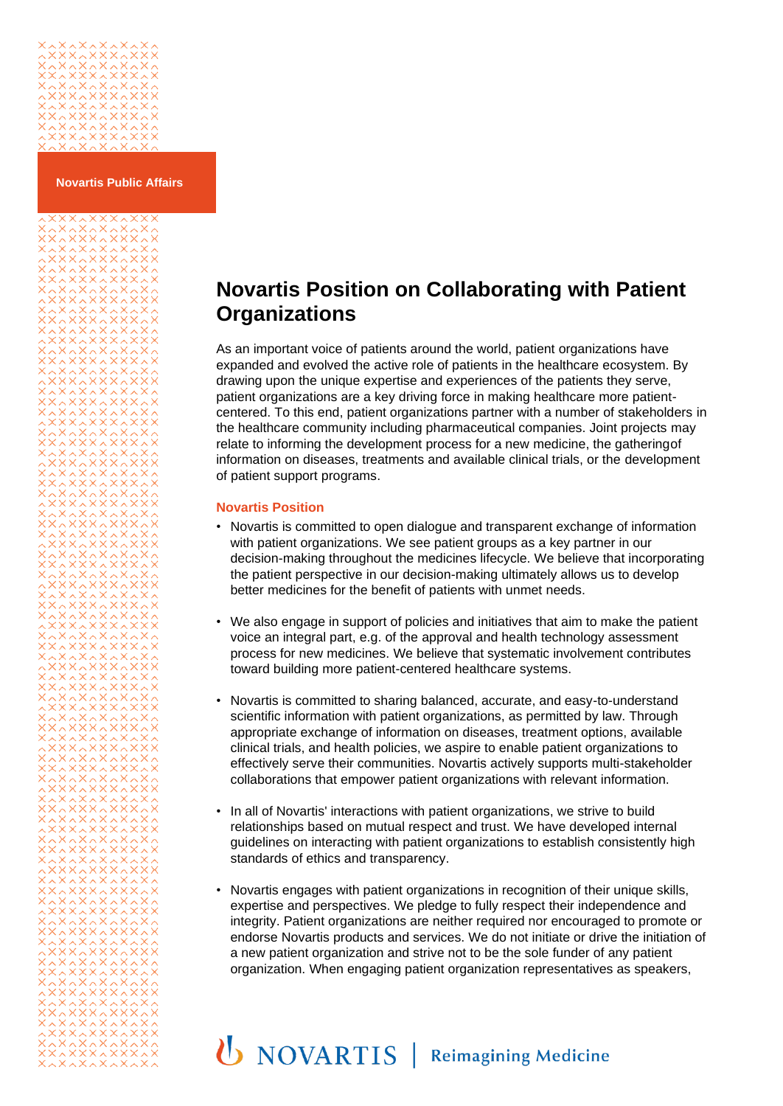## 

xxxxxxxxx

**Novartis Public Affairs**

## **Novartis Position on Collaborating with Patient Organizations**

As an important voice of patients around the world, patient organizations have expanded and evolved the active role of patients in the healthcare ecosystem. By drawing upon the unique expertise and experiences of the patients they serve, patient organizations are a key driving force in making healthcare more patientcentered. To this end, patient organizations partner with a number of stakeholders in the healthcare community including pharmaceutical companies. Joint projects may relate to informing the development process for a new medicine, the gatheringof information on diseases, treatments and available clinical trials, or the development of patient support programs.

## **Novartis Position**

- Novartis is committed to open dialogue and transparent exchange of information with patient organizations. We see patient groups as a key partner in our decision-making throughout the medicines lifecycle. We believe that incorporating the patient perspective in our decision-making ultimately allows us to develop better medicines for the benefit of patients with unmet needs.
- We also engage in support of policies and initiatives that aim to make the patient voice an integral part, e.g. of the approval and health technology assessment process for new medicines. We believe that systematic involvement contributes toward building more patient-centered healthcare systems.
- Novartis is committed to sharing balanced, accurate, and easy-to-understand scientific information with patient organizations, as permitted by law. Through appropriate exchange of information on diseases, treatment options, available clinical trials, and health policies, we aspire to enable patient organizations to effectively serve their communities. Novartis actively supports multi-stakeholder collaborations that empower patient organizations with relevant information.
- In all of Novartis' interactions with patient organizations, we strive to build relationships based on mutual respect and trust. We have developed internal guidelines on interacting with patient organizations to establish consistently high standards of ethics and transparency.
- Novartis engages with patient organizations in recognition of their unique skills, expertise and perspectives. We pledge to fully respect their independence and integrity. Patient organizations are neither required nor encouraged to promote or endorse Novartis products and services. We do not initiate or drive the initiation of a new patient organization and strive not to be the sole funder of any patient organization. When engaging patient organization representatives as speakers,

## **U** NOVARTIS | Reimagining Medicine